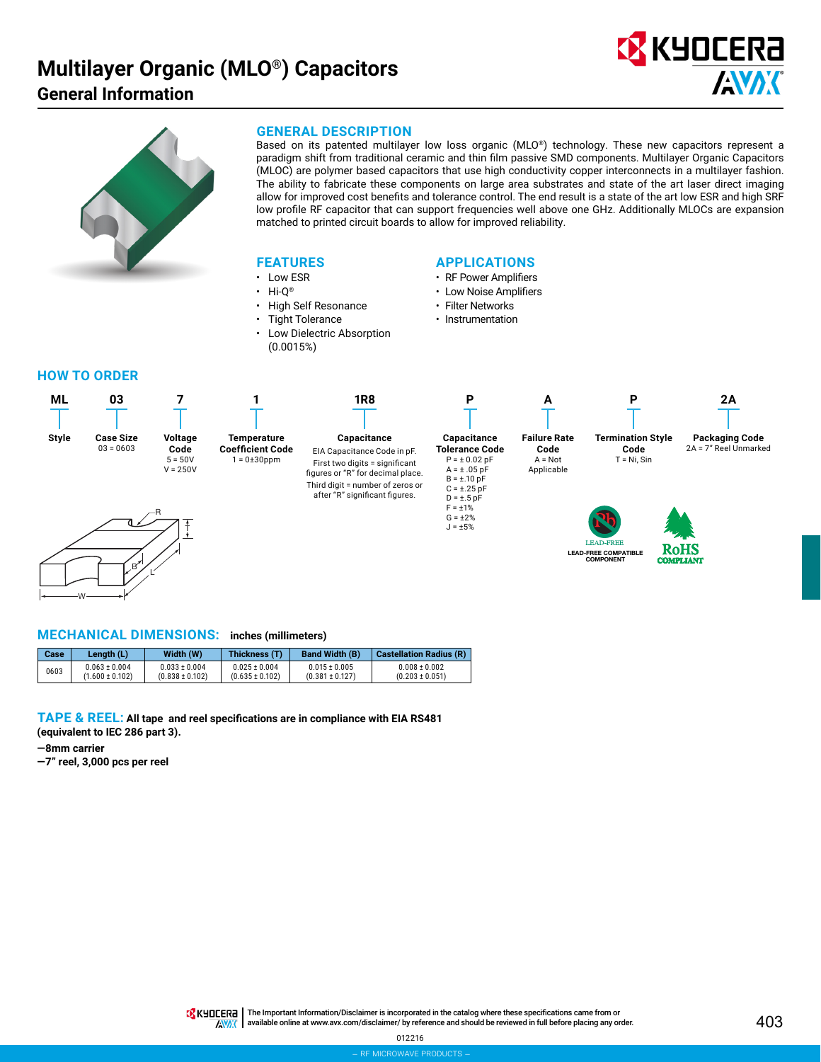## **Multilayer Organic (MLO®) Capacitors General Information**





## **GENERAL DESCRIPTION**

Based on its patented multilayer low loss organic (MLO®) technology. These new capacitors represent a paradigm shift from traditional ceramic and thin film passive SMD components. Multilayer Organic Capacitors (MLOC) are polymer based capacitors that use high conductivity copper interconnects in a multilayer fashion. The ability to fabricate these components on large area substrates and state of the art laser direct imaging allow for improved cost benefits and tolerance control. The end result is a state of the art low ESR and high SRF low profile RF capacitor that can support frequencies well above one GHz. Additionally MLOCs are expansion matched to printed circuit boards to allow for improved reliability.

## **FEATURES**

- Low ESR
- Hi-Q®
- High Self Resonance
- **Tight Tolerance**
- Low Dielectric Absorption (0.0015%)

## **APPLICATIONS**

- RF Power Amplifiers
- Low Noise Amplifiers
- Filter Networks
- Instrumentation

## **HOW TO ORDER**



## **MECHANICAL DIMENSIONS: inches (millimeters)**

| Case | Lenath (L)          | Width (W)           | Thickness (T)       | <b>Band Width (B)</b> | <b>Castellation Radius (R)</b> |
|------|---------------------|---------------------|---------------------|-----------------------|--------------------------------|
| 0603 | $0.063 \pm 0.004$   | $0.033 \pm 0.004$   | $0.025 \pm 0.004$   | $0.015 \pm 0.005$     | $0.008 \pm 0.002$              |
|      | $(1.600 \pm 0.102)$ | $(0.838 \pm 0.102)$ | $(0.635 \pm 0.102)$ | $(0.381 \pm 0.127)$   | $(0.203 \pm 0.051)$            |

**TAPE & REEL: All tape and reel specifications are in compliance with EIA RS481 (equivalent to IEC 286 part 3).**

**—8mm carrier**

W

**—7" reel, 3,000 pcs per reel**

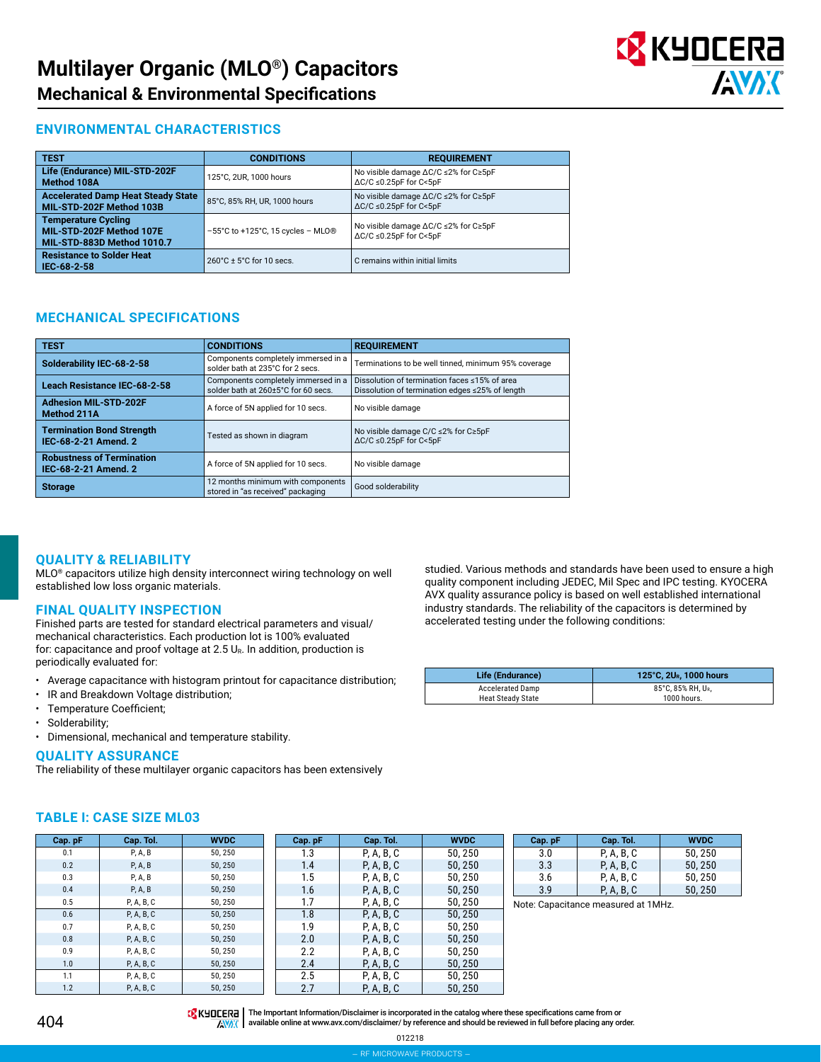

## **ENVIRONMENTAL CHARACTERISTICS**

| <b>TEST</b>                                                                          | <b>CONDITIONS</b>                                      | <b>REQUIREMENT</b>                                                         |  |
|--------------------------------------------------------------------------------------|--------------------------------------------------------|----------------------------------------------------------------------------|--|
| Life (Endurance) MIL-STD-202F<br>Method 108A                                         | 125°C, 2UR, 1000 hours                                 | No visible damage ∆C/C ≤2% for C≥5pF<br>$\Delta C/C \leq 0.25pF$ for C<5pF |  |
| <b>Accelerated Damp Heat Steady State</b><br>MIL-STD-202F Method 103B                | 85°C, 85% RH, UR, 1000 hours                           | No visible damage ∆C/C ≤2% for C≥5pF<br>$\Delta C/C \leq 0.25pF$ for C<5pF |  |
| <b>Temperature Cycling</b><br>MIL-STD-202F Method 107E<br>MIL-STD-883D Method 1010.7 | $-55^{\circ}$ C to +125 $^{\circ}$ C, 15 cycles - MLO® | No visible damage ∆C/C ≤2% for C≥5pF<br>$\Delta C/C \leq 0.25pF$ for C<5pF |  |
| <b>Resistance to Solder Heat</b><br>IEC-68-2-58                                      | $260^{\circ}$ C ± 5 $^{\circ}$ C for 10 secs.          | C remains within initial limits                                            |  |

## **MECHANICAL SPECIFICATIONS**

| <b>TEST</b>                                              | <b>CONDITIONS</b>                                                          | <b>REQUIREMENT</b>                                                                               |  |
|----------------------------------------------------------|----------------------------------------------------------------------------|--------------------------------------------------------------------------------------------------|--|
| Solderability IEC-68-2-58                                | Components completely immersed in a<br>solder bath at 235°C for 2 secs.    | Terminations to be well tinned, minimum 95% coverage                                             |  |
| Leach Resistance IEC-68-2-58                             | Components completely immersed in a<br>solder bath at 260±5°C for 60 secs. | Dissolution of termination faces <15% of area<br>Dissolution of termination edges ≤25% of length |  |
| <b>Adhesion MIL-STD-202F</b><br>Method 211A              | A force of 5N applied for 10 secs.                                         | No visible damage                                                                                |  |
| <b>Termination Bond Strength</b><br>IEC-68-2-21 Amend, 2 | Tested as shown in diagram                                                 | No visible damage C/C $\leq$ 2% for C $\geq$ 5pF<br>$\Delta C/C \leq 0.25pF$ for C<5pF           |  |
| <b>Robustness of Termination</b><br>IEC-68-2-21 Amend. 2 | A force of 5N applied for 10 secs.                                         | No visible damage                                                                                |  |
| <b>Storage</b>                                           | 12 months minimum with components<br>stored in "as received" packaging     | Good solderability                                                                               |  |

## **QUALITY & RELIABILITY**

MLO® capacitors utilize high density interconnect wiring technology on well established low loss organic materials.

## **FINAL QUALITY INSPECTION**

Finished parts are tested for standard electrical parameters and visual/ mechanical characteristics. Each production lot is 100% evaluated for: capacitance and proof voltage at 2.5  $U_{R}$ . In addition, production is periodically evaluated for:

- Average capacitance with histogram printout for capacitance distribution;
- IR and Breakdown Voltage distribution;
- Temperature Coefficient;
- Solderability;
- Dimensional, mechanical and temperature stability.

## **QUALITY ASSURANCE**

**TABLE I: CASE SIZE ML03**

The reliability of these multilayer organic capacitors has been extensively

studied. Various methods and standards have been used to ensure a high quality component including JEDEC, Mil Spec and IPC testing. KYOCERA AVX quality assurance policy is based on well established international industry standards. The reliability of the capacitors is determined by accelerated testing under the following conditions:

| Life (Endurance)  | 125°C, 2U <sub>R</sub> , 1000 hours |  |  |
|-------------------|-------------------------------------|--|--|
| Accelerated Damp  | 85°C. 85% RH. UR.                   |  |  |
| Heat Steady State | 1000 hours.                         |  |  |

| Cap. pF | Cap. Tol.  | <b>WVDC</b> | Cap. pF | Cap. Tol.  | <b>WVDC</b> |
|---------|------------|-------------|---------|------------|-------------|
| 0.1     | P, A, B    | 50,250      | 1.3     | P, A, B, C | 50,250      |
| 0.2     | P, A, B    | 50,250      | 1.4     | P, A, B, C | 50, 250     |
| 0.3     | P, A, B    | 50,250      | 1.5     | P, A, B, C | 50,250      |
| 0.4     | P, A, B    | 50,250      | 1.6     | P, A, B, C | 50, 250     |
| 0.5     | P, A, B, C | 50,250      | 1.7     | P, A, B, C | 50, 250     |
| 0.6     | P, A, B, C | 50,250      | 1.8     | P, A, B, C | 50, 250     |
| 0.7     | P, A, B, C | 50,250      | 1.9     | P, A, B, C | 50,250      |
| 0.8     | P, A, B, C | 50,250      | 2.0     | P, A, B, C | 50, 250     |
| 0.9     | P, A, B, C | 50,250      | 2.2     | P, A, B, C | 50, 250     |
| 1.0     | P, A, B, C | 50,250      | 2.4     | P, A, B, C | 50.250      |
| 1.1     | P, A, B, C | 50,250      | 2.5     | P, A, B, C | 50, 250     |
| 1.2     | P, A, B, C | 50.250      | 2.7     | P, A, B, C | 50, 250     |

| Cap. pF | Cap. Tol.  | <b>WVDC</b> |  |  |
|---------|------------|-------------|--|--|
| 3.0     | P, A, B, C | 50, 250     |  |  |
| 3.3     | P, A, B, C | 50, 250     |  |  |
| 3.6     | P, A, B, C | 50, 250     |  |  |
| 3.9     | P, A, B, C | 50, 250     |  |  |

Note: Capacitance measured at 1MHz.

## 404

THE IMPORTANT IN The Important Information/Disclaimer is incorporated in the catalog where these specifications came from or AVAX available online at [www.avx.com/disclaimer/](http://www.avx.com/disclaimer/) by reference and should be reviewed in full before placing any order.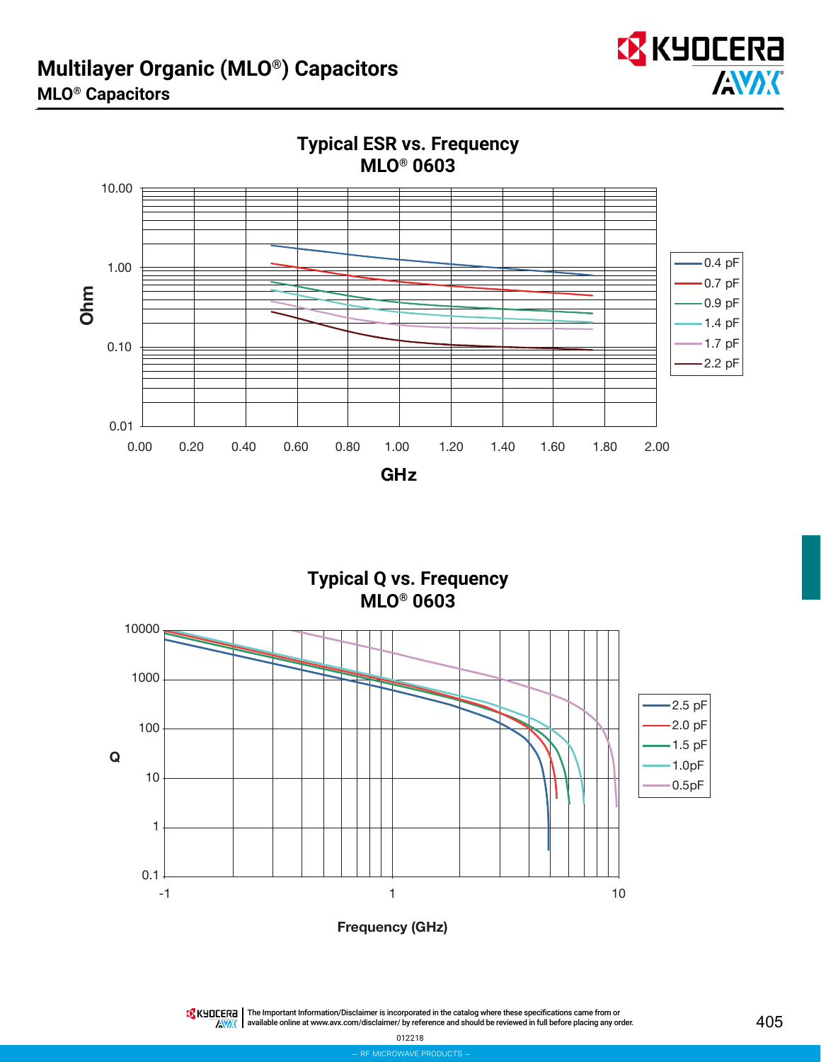



**Typical ESR vs. Frequency**

**Typical Q vs. Frequency MLO® 0603**



The Important Information/Disclaimer is incorporated in the catalog where these specifications came from or available online at [www.avx.com/disclaimer/](http://www.avx.com/disclaimer/) by reference and should be reviewed in full before placing any order.  $\overline{N}$